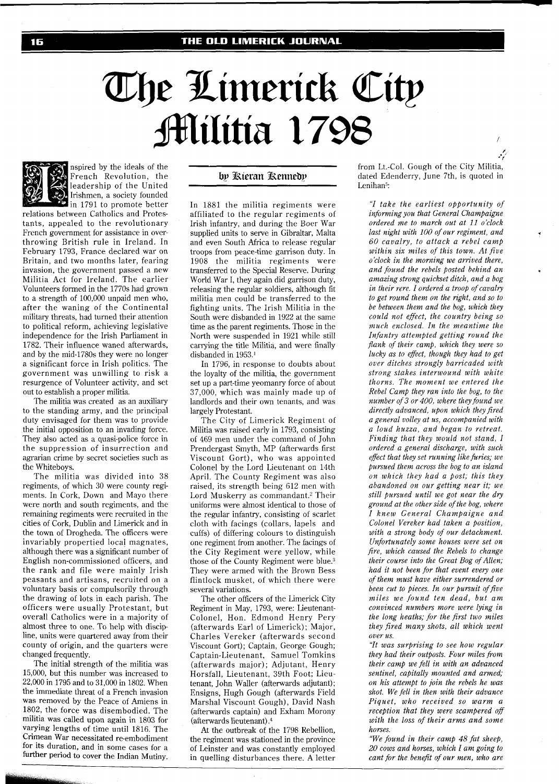## The Limerick City **Militia 1798**



nspired by the ideals of the French Revolution, the leadership of the United Irishmen, a society founded  $\blacksquare$  in 1791 to promote better

relations between Catholics and Protestants, appealed to the revolutionary French government for assistance in overthrowing British rule in Ireland. In February 1793, France declared war on Britain, and two months later, fearing invasion, the government passed a new Militia Act for Ireland. The earlier Volunteers formed in the 1770s had grown to a strength of 100,000 unpaid men who, after the waning of the Continental military threats, had turned their attention to political reform, achieving legislative independence for the Irish Parliament in 1782. Their influence waned afterwards, and by the mid-1780s they were no longer a significant force in Irish politics. The government was unwilling to risk a resurgence of Volunteer activity, and set out to establish a proper militia.

The militia was created as an auxiliary to the standing army, and the principal duty envisaged for them was to provide the initial opposition to an invading force. They also acted as a quasi-police force in the suppression of insurrection and agrarian crime by secret societies such as the Whiteboys.

The militia was divided into 38 regiments, of which 30 were county regiments. In Cork, Down and Mayo there were north and south regiments, and the remaining regiments were recruited in the cities of Cork, Dublin and Limerick and in the town of Drogheda. The officers were invariably propertied local magnates, although there was a significant number of English non-commissioned officers, and the rank and file were mainly Irish peasants and artisans, recruited on a voluntary basis or compulsorily through the drawing of lots in each parish. The officers were usually Protestant, but overall Catholics were in a majority of almost three to one. To help with discip line, units were quartered away from their county of origin, and the quarters were changed frequently.

The initial strength of the militia was 15,000, but this number was increased to 22,000 in 1795 and to 31,000 in 1802. When the immediate threat of a French invasion was removed by the Peace of Amiens in 1802, the force was disembodied. The militia was called upon again in 1803 for varying lengths of time until 1816. The Crimean War necessitated re-embodiment for its duration, and in some cases for a further period to cover the Indian Mutiny.

## by Kieran Kennedy

In 1881 the militia regiments were affiliated to the regular regiments of Irish infantry, and during the Boer War supplied units to serve in Gibraltar, Malta and even South Africa to release regular troops from peace-time garrison duty. In 1908 the militia regiments were transferred to the Special Reserve. During World War I, they again did garrison duty, releasing the regular soldiers, although fit militia men could be transferred to the fighting units. The Irish Militia in the South were disbanded in 1922 at the same time as the parent regiments. Those in the North were suspended in 1921 while still carrying the title Militia, and were finally disbanded in 1953.'

In 1796, in response to doubts about the loyalty of the militia, the government set up a part-time yeomanry force of about 37,000, which was mainly made up of landlords and their own tenants, and was largely Protestant.

The City of Limerick Regiment of Militia was raised early in 1793, consisting of 469 men under the command of John Prendergast Smyth, MP (afterwards first Viscount Gort), who was appointed Colonel by the Lord Lieutenant on 14th April. The County Regiment was also raised, its strength being 612 men with Lord Muskerry as commandant.<sup>2</sup> Their uniforms were almost identical to those of the regular infantry, consisting of scarlet cloth with facings (collars, lapels and cuffs) of differing colours to distinguish one regiment from another. The facings of the City Regiment were yellow, while those of the County Regiment were blue.<sup>3</sup> They were armed with the Brown Bess flintlock musket, of which there were several variations.

The other officers of the Limerick City Regiment in May, 1793, were: Lieutenant-Colonel, Hon. Edmond Henry Pery (afterwards Earl of Limerick); Major, Charles Vereker (afterwards second Viscount Gort); Captain, George Gough; Captain-Lieutenant, Samuel Tomkins (afterwards major); Adjutant, Henry Horsfall, Lieutenant, 39th Foot; Lieutenant, John Waller (afterwards adjutant); Ensigns, Hugh Gough (afterwards Field Marshal Viscount Gough), David Nash (afterwards captain) and Exham Morony (afterwards lieutenant) **.4** 

At the outbreak of the 1798 Rebellion, the regiment was stationed in the province of Leinster and was constantly employed in quelling disturbances there. A letter from Lt.-Col. Gough of the City Militia, dated Edenderry, June 7th, is quoted in Lenihan<sup>5</sup>:

'I

*"I take the earliest opportunity of informing you that General Champaigne ordered me to march out at 11 o'clock last night with 100 of our regiment, and* **<sup>7</sup>** *60 cavalry, to attack a rebel camp within six miles of this town. At five o'clock in the morning we arrived there, and found the rebels posted behind an amazing strong quickset ditch, and a bog in their rere. I ordered a troop of cavalry to get round them on the right, and so to be between them and the bog, which they could not effect, the country being so much enclosed. In the meantime the Infantry attempted getting round the flank of their camp, which they were so lucky as to efect, though they had to get over ditches strongly barricaded with strong stakes interwound with white thorns. The moment we entered the Rebel Camp they ran into the bog, to the number of3 or 400, where they found we directly advanced, upon which they fired a general volley at us, accompanied with a loud huzza, and began to retreat. Finding that they would not stand, I ordered a general discharge, with such efiect that they set running like furies; we pursued them across the bog to an island on which they had a post; this they abandoned on our getting near it; we still pursued until we got near the dry ground at the other side of the bog, where I knew General Champaigne and Colonel Vereker had taken a position, with a strong body of our detachment. Unfortunately some houses were set on fire, which caused the Rebels to change their course into the Great Bog of Allen; had it not been for that event every one ofthem must have either surrendered or been cut to pieces. In our pursuit of five miles we found ten dead, but am convinced numbers more were lying in the long heaths; for the first two miles they fired many shots, all which went over us.* 

*"It was surprising to see how regular they had their outposts. Four miles from their camp we fell in with an advanced sentinel, capitally mounted and armed; on his attempt to join the rebels he was shot. We fell in then with their advance Piquet, who received so warm a reception that they were scampered off with the loss of their arms and some horses.* 

*"We found in their camp 48 fat sheep, 20 cows and horses, which I am going to cant for the benefit of our men, who are*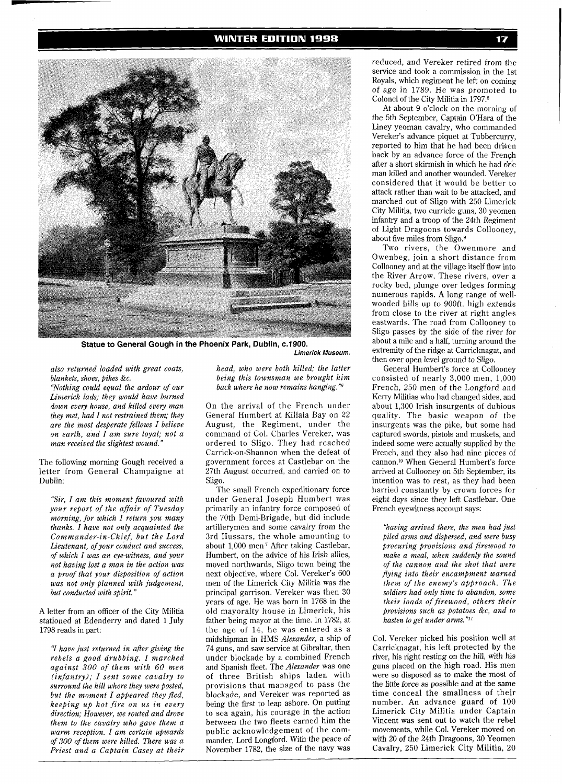

**Statue to General Gough in the Phoenix Park, Dublin, c.1900. Limerick Museum.** 

*also returned loaded with great coats, blankets, shoes, pikes &c.* 

*"Nothing could equal the ardour of our Limerick lads; they would have burned down every house, and killed every man they met, had I not restrained them; they are the most desperate fellows I believe on earth, and I am sure loyal; not a man received the slightest wound."* 

The following morning Gough received a letter from General Champaigne at Dublin:

*"Sir, I am this moment favoured with your report of the affair of Tuesday morning, for which I return you many thanks. I have not only acquainted the Commander-in-Chief, but the Lord Lieutenant, of your conduct and success, of which I was an eye-witness, and your not having lost a man in the action was a proof that your disposition of action was not only planned with judgement, but conducted with spirit."* 

A letter from an officer of the City Militia stationed at Edenderry and dated 1 July 1798 reads in part:

**7** *have jmt returned in after giving the rebels a good drubbing. I marched against 300 of them with 60 men (infantry); I sent some cavalry to surround the hill where they were posted, but the moment I appeared they Bed, keeping up hot fire on us in every direction; However, we routed and drove them to the cavalry who gave them a warm reception. I am certain upwards of 300 of them were killed. There was a Priest and a Captain Casey at their* 

*head, who were both killed; the latter being this townsman we brought him back where he now remains hanging."6* 

On the arrival of the French under General Humbert at Killala Bay on 22 August, the Regiment, under the command of Col. Charles Vereker, was ordered to Sligo. They had reached Carrick-on-Shannon when the defeat of government forces at Castlebar on the 27th August occurred, and carried on to Sligo.

The small French expeditionary force under General Joseph Humbert was primarily an infantry force composed of the 70th Demi-Brigade, but did include artillerymen and some cavalry from the 3rd Hussars, the whole amounting to about  $1,000$  men<sup>7</sup> After taking Castlebar, Humbert, on the advice of his Irish allies, moved northwards, Sligo town being the next objective, where Col. Vereker's 600 men of the Limerick City Militia was the principal garrison. Vereker was then 30 years of age. He was born in 1768 in the old mayoralty house in Limerick, his father being mayor at the time. In 1782, at the age of 14, he was entered as a midshipman in HMS *Alexander,* a ship of 74 guns, and saw service at Gibraltar, then under blockade by a combined French and Spanish fleet. The *Alexander* was one of three British ships laden with provisions that managed to pass the blockade, and Vereker was reported as being the first to leap ashore. On putting to sea again, his courage in the action between the two fleets earned him the mander, Lord Longford. With the peace of November 1782, the size of the navy was

reduced, and Vereker retired from the service and took a commission in the 1st Royals, which regiment he left on coming of age in 1789. He was promoted to Colonel of the City Militia in 1797.8

At about 9 o'clock on the morning of the 5th September, Captain O'Hara of the Liney yeoman cavalry, who commanded Vereker's advance piquet at Tubbercurry, reported to him that he had been driven back by an advance force of the French after a short skirmish in which he had one man killed and another wounded. Vereker considered that it would be better to attack rather than wait to be attacked, and marched out of Sligo with 250 Limerick City Militia, two curricle guns, 30 yeomen infantry and a troop of the 24th Regiment of Light Dragoons towards Collooney, about five miles from Sligo.9

rocky bed, plunge over ledges forming numerous rapids. A long range of wellwooded hills up to 900ft. high extends from close to the river at right angles eastwards. The road from Collooney to Sligo passes by the side of the river for about a mile and a half, turning around the extremity of the ridge at Carricknagat, and then over open level ground to Sligo. Two rivers, the Owenmore and Owenbeg, join a short distance from Collooney and at the village itself flow into the River Arrow. These rivers, over a

General Humbert's force at Collooney consisted of nearly 3,000 men, 1,000 French, 250 men of the Longford and Kerry Militias who had changed sides, and about 1,300 Irish insurgents of dubious quality. The basic weapon of the insurgents was the pike, but some had captured swords, pistols and muskets, and indeed some were actually supplied by the French, and they also had nine pieces of cannon.1° When General Humbert's force arrived at Collooney on 5th September, its intention was to rest, as they had been harried constantly by crown forces for eight days since they left Castlebar. One French eyewitness account says:

*"having arrived there, the men had just piled arms and dispersed, and were busy procuring provisions and firewood to make a meal, when suddenly the sound of the cannon and the shot that were flying into their encampment warned them of the enemy's approach. The soldiers had only time to abandon, some their loads of firewood, others their provisions such as potatoes &c, and to*  hasten to get under arms."<sup>11</sup>

Col. Vereker picked his position well at Carricknagat, his left protected by the river, his right resting on the hill, with his guns placed on the high road. His men were so disposed as to make the most of the little force as possible and at the same time conceal the smallness of their number. An advance guard of 100 Limerick City Militia under Captain Vincent was sent out to watch the rebel movements, while Col. Vereker moved on with 20 of the 24th Dragoons, 30 Yeomen Cavalry, 250 Limerick City Militia, 20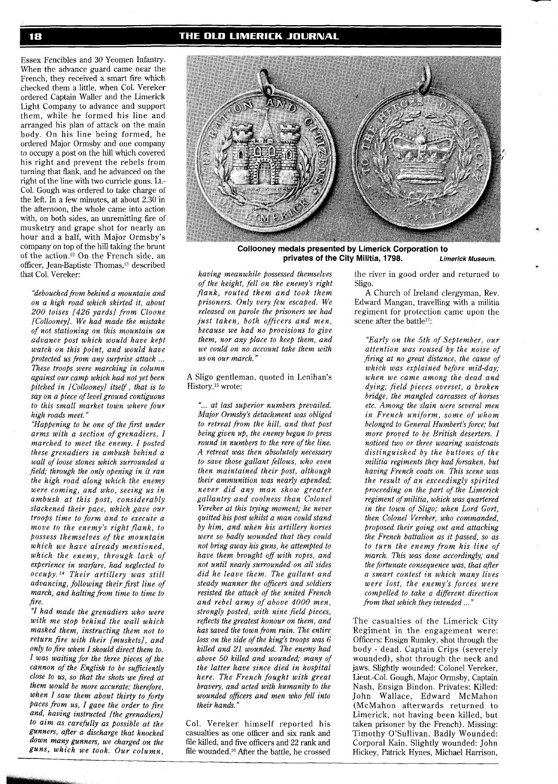Essex Fencibles and 30 Yeomen Infantry. When the advance guard came near the French, they received a smart fire which checked them a little, when Col. Vereker ordered Captain Waller and the Limerick Light Company to advance and support them, while he formed his line and arranged his plan of attack on the main body. On his line being formed, he ordered Major Ormsby and one company to occupy a post on the hill which covered his right and prevent the rebels from turning that flank, and he advanced on the right of the line with two curricle guns. Lt.- Col. Gough was ordered to take charge of the left. In a few minutes, at about 2.30 in the afternoon, the whole came into action with, on both sides, an unremitting fire of musketry and grape shot for nearly an hour and a half, with Major Ormsby's company on top of the hill taking the brunt of the action.12 On the French side, an officer, Jean-Baptiste Thomas,<sup>13</sup> described that Col. Vereker:

*"debouchedfiom behind a mountain and on a high road which skirted it, about 200 toises l426 yards] from Cloone ICollooneyl. We had made the mistake of not stationing on this mountain an advance post which would have kept watch on this point, and would have protected us from any surprise attack* ... *These troops were marching in column against our camp which had not yet been pitched in ICollooneyl itself, that is to say on a piece of level ground contiguous to this small market town where four high roads meet."* 

*"Happening to be one of the first under arms with a section of grenadiers, I marched to meet the enemy. I posted these grenadiers in ambush behind a wall of loose stones which surrounded a field; through the only opening in it ran the high road along which the enemy were coming, and who, seeing us in ambush at this post, considerably slackened their pa,ce, which gave our troops time to form and to execute a move to the enemy's right flank, to Possess themselves of the mountain which we have already mentioned, which the enemy, through lack of experience in warfare, had neglected to*   $occuby.$ <sup>14</sup> Their artillery was still *advancing, following their first line of march, and halting from time to time to fire.* 

"I *had made the grenadiers who were with me stop behind the wall which masked them, instructing them not to return fire with their Imusketsl, and only to fire when I should direct them to. I was waiting for the three pieces of the cannon of the English to be suficiently close to us, so that the shots we fired at them would be more accurate: therefore, when I saw them about thirty to forty Paces from us, I gave the order to fire and, having instructed [the grenadiers/ to aim as carefully as possible at the gunners, aller a discharge that knocked down many gunners, we charged on the guns, which we took. Our column,* 



**Collooney medals presented by Limerick Corporation to privates of the City Militia, 1798. Limerick Museum.** 

*having meanwhile possessed themselves of the height, fell on the enemy's right flank, routed them and took them prisoners. Only very few escaped. We released on parole the prisoners we had just taken, both officers and men, because we had no provisions to give them, nor any place to keep them, and we could on no account take them with us on our march."* 

A Sligo gentleman, quoted in Lenihan's History,15 wrote:

". .. *at last supem'or numbers prevailed. Major Ormsby's detachment was obliged to retreat from the hill, and that post being given up, the enemy began to press round in numbers to the rere of the line. A retreat was then absolutely necessary to save those gallant fellows, who even then maintained their post, although their ammunition was nearly expended; never did any man show greater gallantry and coolness than Colonel Vereker at this trying moment; he never quitted his post whilst a man could stand by him, and when his artillery horses were so badly wounded that they could not bring away his guns, he attempted to have them brought of with ropes, and not until nearly surrounded on all sides did he leave them. The gallant and steady manner the oficers and scldiers resisted the attack of the united French and rebel army of above 4000 men, strongly posted, with nine field pieces, reflects the greatest honour on them, and has saved the town from ruin. The entire loss on the side of the king's troops was 6 killed and 21 wounded. The enemy had above 50 killed and wounded; many of the latter have since died in hospital here. The French fought with great bravery, and acted with humanity to the wounded oficers and men who fell into their hands."* 

Col. Vereker himself reported his casualties as one officer and six rank and file killed, and five officers and 22 rank and file wounded.16 After the battle, he crossed

the river in good order and returned to Sligo.

A Church of Ireland clergyman, Rev. Edward Mangan, travelling with a militia regiment for protection came upon the scene after the battle<sup>17</sup>:

*"Early on the 5th of September, our attention was roused by the noise of firing at no great distance, the cause of which was explained before mid-day; when we came among the dead and dying; field pieces overset, a broken bridge, the mangled carcasses of horses etc. Among the slain were several men in French uniform, some of whom belonged to General Humbert's force; but more proved to be British deserters. I noticed two or three wearing waistcoats distinguished by the buttons of the militia regiments they had forsaken, but having French coats on. This scene was the result of an exceedingly spirited proceeding on the part of the Limerick regiment of militia, which was quartered in the town of Sligo; when Lord Gort, then Colonel Vereker, who commanded, proposed their going out and attacking the French battalion as it passed, so as to turn the enemy from his line of march. This was done accordingly; and the fortunate consequence was, that after a smart contest in which many lives were lost, the enemy's forces were compelled to take a diferent direction fiom that which they intended* ..."

The casualties of the Limerick City Regiment in the engagement were: Officers: Ensign Rumley, shot through the body - dead. Captain Crips (severely wounded), shot through the neck and jaws. Slightly wounded: Colonel Vereker, Lieut.-Col. Gough, Major Ormsby, Captain Nash, Ensign Bindon. Privates: Killed: John Wallace, Edward McMahon (McMahon afterwards returned to Limerick, not having been killed, but taken prisoner by the French). Missing: Timothy O'Sullivan. Badly Wounded: Corporal Kain. Slightly wounded: John Hickey, Patrick Hynes, Michael Harrison,